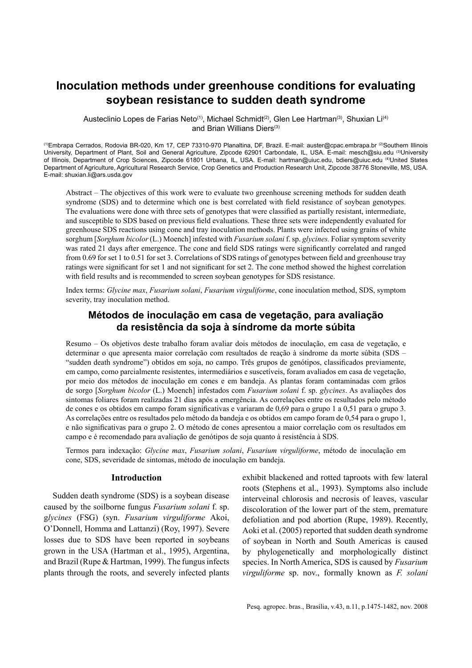# **Inoculation methods under greenhouse conditions for evaluating soybean resistance to sudden death syndrome**

Austeclinio Lopes de Farias Neto<sup>(1)</sup>, Michael Schmidt<sup>(2)</sup>, Glen Lee Hartman<sup>(3)</sup>, Shuxian Li<sup>(4)</sup> and Brian Willians Diers(3)

(1)Embrapa Cerrados, Rodovia BR-020, Km 17, CEP 73310-970 Planaltina, DF, Brazil. E-mail: auster@cpac.embrapa.br (2)Southern Illinois University, Department of Plant, Soil and General Agriculture, Zipcode 62901 Carbondale, IL, USA. E-mail: mesch@siu.edu (3)University of Illinois, Department of Crop Sciences, Zipcode 61801 Urbana, IL, USA. E-mail: hartman@uiuc.edu, bdiers@uiuc.edu (4)United States Department of Agriculture, Agricultural Research Service, Crop Genetics and Production Research Unit, Zipcode 38776 Stoneville, MS, USA. E-mail: shuxian.li@ars.usda.gov

Abstract – The objectives of this work were to evaluate two greenhouse screening methods for sudden death syndrome (SDS) and to determine which one is best correlated with field resistance of soybean genotypes. The evaluations were done with three sets of genotypes that were classified as partially resistant, intermediate, and susceptible to SDS based on previous field evaluations. These three sets were independently evaluated for greenhouse SDS reactions using cone and tray inoculation methods. Plants were infected using grains of white sorghum [*Sorghum bicolor* (L.) Moench] infested with *Fusarium solani* f. sp. *glycines.* Foliar symptom severity was rated 21 days after emergence. The cone and field SDS ratings were significantly correlated and ranged from 0.69 for set 1 to 0.51 for set 3. Correlations of SDS ratings of genotypes between field and greenhouse tray ratings were significant for set 1 and not significant for set 2. The cone method showed the highest correlation with field results and is recommended to screen soybean genotypes for SDS resistance.

Index terms: *Glycine max*, *Fusarium solani*, *Fusarium virguliforme*, cone inoculation method, SDS, symptom severity, tray inoculation method.

# **Métodos de inoculação em casa de vegetação, para avaliação da resistência da soja à síndrome da morte súbita**

Resumo – Os objetivos deste trabalho foram avaliar dois métodos de inoculação, em casa de vegetação, e determinar o que apresenta maior correlação com resultados de reação à síndrome da morte súbita (SDS – "sudden death syndrome") obtidos em soja, no campo. Três grupos de genótipos, classificados previamente, em campo, como parcialmente resistentes, intermediários e suscetíveis, foram avaliados em casa de vegetação, por meio dos métodos de inoculação em cones e em bandeja. As plantas foram contaminadas com grãos de sorgo [*Sorghum bicolor* (L.) Moench] infestados com *Fusarium solani* f. sp. *glycines*. As avaliações dos sintomas foliares foram realizadas 21 dias após a emergência. As correlações entre os resultados pelo método de cones e os obtidos em campo foram significativas e variaram de 0,69 para o grupo 1 a 0,51 para o grupo 3. As correlações entre os resultados pelo método da bandeja e os obtidos em campo foram de 0,54 para o grupo 1, e não signifi cativas para o grupo 2. O método de cones apresentou a maior correlação com os resultados em campo e é recomendado para avaliação de genótipos de soja quanto à resistência à SDS.

Termos para indexação: *Glycine max*, *Fusarium solani*, *Fusarium virguliforme*, método de inoculação em cone, SDS, severidade de sintomas, método de inoculação em bandeja.

## **Introduction**

Sudden death syndrome (SDS) is a soybean disease caused by the soilborne fungus *Fusarium solani* f. sp. g*lycines* (FSG) (syn. *Fusarium virguliforme* Akoi, O'Donnell, Homma and Lattanzi) (Roy, 1997). Severe losses due to SDS have been reported in soybeans grown in the USA (Hartman et al., 1995), Argentina, and Brazil (Rupe & Hartman, 1999). The fungus infects plants through the roots, and severely infected plants exhibit blackened and rotted taproots with few lateral roots (Stephens et al., 1993). Symptoms also include interveinal chlorosis and necrosis of leaves, vascular discoloration of the lower part of the stem, premature defoliation and pod abortion (Rupe, 1989). Recently, Aoki et al. (2005) reported that sudden death syndrome of soybean in North and South Americas is caused by phylogenetically and morphologically distinct species. In North America, SDS is caused by *Fusarium virguliforme* sp. nov., formally known as *F. solani*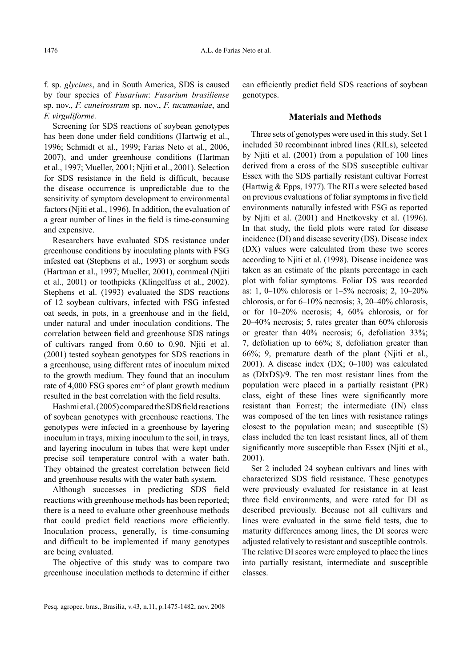f. sp. *glycines*, and in South America, SDS is caused by four species of *Fusarium*: *Fusarium brasiliense* sp. nov., *F. cuneirostrum* sp. nov., *F. tucumaniae*, and *F. virguliforme.*

Screening for SDS reactions of soybean genotypes has been done under field conditions (Hartwig et al., 1996; Schmidt et al., 1999; Farias Neto et al., 2006, 2007), and under greenhouse conditions (Hartman et al., 1997; Mueller, 2001; Njiti et al., 2001). Selection for SDS resistance in the field is difficult, because the disease occurrence is unpredictable due to the sensitivity of symptom development to environmental factors (Njiti et al., 1996). In addition, the evaluation of a great number of lines in the field is time-consuming and expensive.

Researchers have evaluated SDS resistance under greenhouse conditions by inoculating plants with FSG infested oat (Stephens et al., 1993) or sorghum seeds (Hartman et al., 1997; Mueller, 2001), cornmeal (Njiti et al., 2001) or toothpicks (Klingelfuss et al., 2002). Stephens et al. (1993) evaluated the SDS reactions of 12 soybean cultivars, infected with FSG infested oat seeds, in pots, in a greenhouse and in the field, under natural and under inoculation conditions. The correlation between field and greenhouse SDS ratings of cultivars ranged from 0.60 to 0.90. Njiti et al. (2001) tested soybean genotypes for SDS reactions in a greenhouse, using different rates of inoculum mixed to the growth medium. They found that an inoculum rate of 4,000 FSG spores cm<sup>-3</sup> of plant growth medium resulted in the best correlation with the field results.

Hashmi et al. (2005) compared the SDS field reactions of soybean genotypes with greenhouse reactions. The genotypes were infected in a greenhouse by layering inoculum in trays, mixing inoculum to the soil, in trays, and layering inoculum in tubes that were kept under precise soil temperature control with a water bath. They obtained the greatest correlation between field and greenhouse results with the water bath system.

Although successes in predicting SDS field reactions with greenhouse methods has been reported; there is a need to evaluate other greenhouse methods that could predict field reactions more efficiently. Inoculation process, generally, is time-consuming and difficult to be implemented if many genotypes are being evaluated.

The objective of this study was to compare two greenhouse inoculation methods to determine if either can efficiently predict field SDS reactions of soybean genotypes.

#### **Materials and Methods**

Three sets of genotypes were used in this study. Set 1 included 30 recombinant inbred lines (RILs), selected by Njiti et al. (2001) from a population of 100 lines derived from a cross of the SDS susceptible cultivar Essex with the SDS partially resistant cultivar Forrest (Hartwig & Epps, 1977). The RILs were selected based on previous evaluations of foliar symptoms in five field environments naturally infested with FSG as reported by Njiti et al. (2001) and Hnetkovsky et al. (1996). In that study, the field plots were rated for disease incidence (DI) and disease severity (DS). Disease index (DX) values were calculated from these two scores according to Njiti et al. (1998). Disease incidence was taken as an estimate of the plants percentage in each plot with foliar symptoms. Foliar DS was recorded as: 1, 0–10% chlorosis or 1–5% necrosis; 2, 10–20% chlorosis, or for 6–10% necrosis; 3, 20–40% chlorosis, or for 10–20% necrosis; 4, 60% chlorosis, or for 20–40% necrosis; 5, rates greater than 60% chlorosis or greater than 40% necrosis; 6, defoliation 33%; 7, defoliation up to 66%; 8, defoliation greater than 66%; 9, premature death of the plant (Njiti et al., 2001). A disease index (DX; 0–100) was calculated as (DIxDS)/9. The ten most resistant lines from the population were placed in a partially resistant (PR) class, eight of these lines were significantly more resistant than Forrest; the intermediate (IN) class was composed of the ten lines with resistance ratings closest to the population mean; and susceptible (S) class included the ten least resistant lines, all of them significantly more susceptible than Essex (Njiti et al., 2001).

Set 2 included 24 soybean cultivars and lines with characterized SDS field resistance. These genotypes were previously evaluated for resistance in at least three field environments, and were rated for DI as described previously. Because not all cultivars and lines were evaluated in the same field tests, due to maturity differences among lines, the DI scores were adjusted relatively to resistant and susceptible controls. The relative DI scores were employed to place the lines into partially resistant, intermediate and susceptible classes.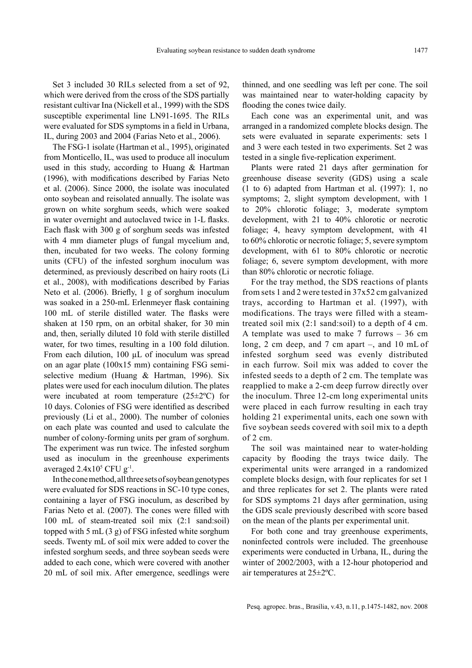Pesq. agropec. bras., Brasília, v.43, n.11, p.1475-1482, nov. 2008

Set 3 included 30 RILs selected from a set of 92, which were derived from the cross of the SDS partially resistant cultivar Ina (Nickell et al., 1999) with the SDS susceptible experimental line LN91-1695. The RILs were evaluated for SDS symptoms in a field in Urbana, IL, during 2003 and 2004 (Farias Neto et al., 2006).

The FSG-1 isolate (Hartman et al., 1995), originated from Monticello, IL, was used to produce all inoculum used in this study, according to Huang & Hartman  $(1996)$ , with modifications described by Farias Neto et al. (2006). Since 2000, the isolate was inoculated onto soybean and reisolated annually. The isolate was grown on white sorghum seeds, which were soaked in water overnight and autoclaved twice in 1-L flasks. Each flask with 300 g of sorghum seeds was infested with 4 mm diameter plugs of fungal mycelium and, then, incubated for two weeks. The colony forming units (CFU) of the infested sorghum inoculum was determined, as previously described on hairy roots (Li et al., 2008), with modifications described by Farias Neto et al. (2006). Briefly, 1 g of sorghum inoculum was soaked in a 250-mL Erlenmeyer flask containing 100 mL of sterile distilled water. The flasks were shaken at 150 rpm, on an orbital shaker, for 30 min and, then, serially diluted 10 fold with sterile distilled water, for two times, resulting in a 100 fold dilution. From each dilution, 100 µL of inoculum was spread on an agar plate (100x15 mm) containing FSG semiselective medium (Huang & Hartman, 1996). Six plates were used for each inoculum dilution. The plates were incubated at room temperature  $(25\pm2$ <sup>o</sup>C) for 10 days. Colonies of FSG were identified as described previously (Li et al., 2000). The number of colonies on each plate was counted and used to calculate the number of colony-forming units per gram of sorghum. The experiment was run twice. The infested sorghum used as inoculum in the greenhouse experiments averaged  $2.4x10^5$  CFU g<sup>-1</sup>.

In the cone method,all three sets of soybean genotypes were evaluated for SDS reactions in SC-10 type cones, containing a layer of FSG inoculum, as described by Farias Neto et al. (2007). The cones were filled with 100 mL of steam-treated soil mix (2:1 sand:soil) topped with 5 mL  $(3 g)$  of FSG infested white sorghum seeds. Twenty mL of soil mix were added to cover the infested sorghum seeds, and three soybean seeds were added to each cone, which were covered with another 20 mL of soil mix. After emergence, seedlings were thinned, and one seedling was left per cone. The soil was maintained near to water-holding capacity by flooding the cones twice daily.

Each cone was an experimental unit, and was arranged in a randomized complete blocks design. The sets were evaluated in separate experiments: sets 1 and 3 were each tested in two experiments. Set 2 was tested in a single five-replication experiment.

Plants were rated 21 days after germination for greenhouse disease severity (GDS) using a scale (1 to 6) adapted from Hartman et al. (1997): 1, no symptoms; 2, slight symptom development, with 1 to 20% chlorotic foliage; 3, moderate symptom development, with 21 to 40% chlorotic or necrotic foliage; 4, heavy symptom development, with 41 to 60% chlorotic or necrotic foliage; 5, severe symptom development, with 61 to 80% chlorotic or necrotic foliage; 6, severe symptom development, with more than 80% chlorotic or necrotic foliage.

For the tray method, the SDS reactions of plants from sets 1 and 2 were tested in 37x52 cm galvanized trays, according to Hartman et al. (1997), with modifications. The trays were filled with a steamtreated soil mix (2:1 sand:soil) to a depth of 4 cm. A template was used to make 7 furrows – 36 cm long, 2 cm deep, and 7 cm apart –, and 10 mL of infested sorghum seed was evenly distributed in each furrow. Soil mix was added to cover the infested seeds to a depth of 2 cm. The template was reapplied to make a 2-cm deep furrow directly over the inoculum. Three 12-cm long experimental units were placed in each furrow resulting in each tray holding 21 experimental units, each one sown with five soybean seeds covered with soil mix to a depth of 2 cm.

The soil was maintained near to water-holding capacity by flooding the trays twice daily. The experimental units were arranged in a randomized complete blocks design, with four replicates for set 1 and three replicates for set 2. The plants were rated for SDS symptoms 21 days after germination, using the GDS scale previously described with score based on the mean of the plants per experimental unit.

For both cone and tray greenhouse experiments, noninfected controls were included. The greenhouse experiments were conducted in Urbana, IL, during the winter of 2002/2003, with a 12-hour photoperiod and air temperatures at 25±2ºC.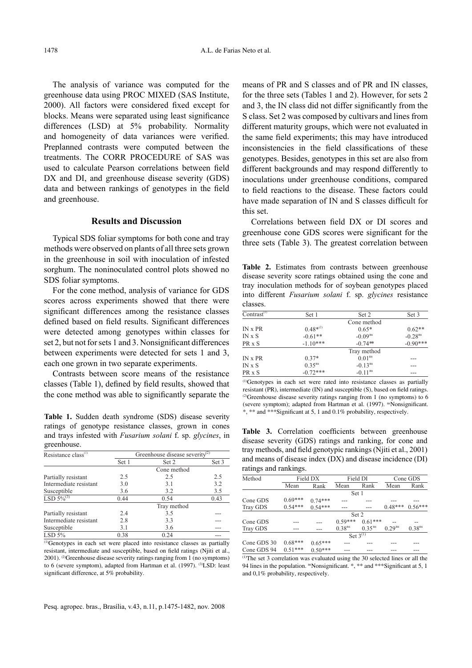The analysis of variance was computed for the greenhouse data using PROC MIXED (SAS Institute, 2000). All factors were considered fixed except for blocks. Means were separated using least significance differences (LSD) at 5% probability. Normality and homogeneity of data variances were verified. Preplanned contrasts were computed between the treatments. The CORR PROCEDURE of SAS was used to calculate Pearson correlations between field DX and DI, and greenhouse disease severity (GDS) data and between rankings of genotypes in the field and greenhouse.

# **Results and Discussion**

Typical SDS foliar symptoms for both cone and tray methods were observed on plants of all three sets grown in the greenhouse in soil with inoculation of infested sorghum. The noninoculated control plots showed no SDS foliar symptoms.

For the cone method, analysis of variance for GDS scores across experiments showed that there were significant differences among the resistance classes defined based on field results. Significant differences were detected among genotypes within classes for set 2, but not for sets 1 and 3. Nonsignificant differences between experiments were detected for sets 1 and 3, each one grown in two separate experiments.

Contrasts between score means of the resistance classes (Table 1), defined by field results, showed that the cone method was able to significantly separate the

Table 1. Sudden death syndrome (SDS) disease severity \*\*\*\* and \*\*\* Significant at 5, 1 and 0.1% probability, respectively. ratings of genotype resistance classes, grown in cones and trays infested with *Fusarium solani* f. sp. *glycines*, in greenhouse.

| Resistance class <sup>(1)</sup> | Greenhouse disease severity <sup>(2)</sup> |             |       |  |  |  |
|---------------------------------|--------------------------------------------|-------------|-------|--|--|--|
|                                 | Set 1                                      | Set 2       | Set 3 |  |  |  |
|                                 |                                            | Cone method |       |  |  |  |
| Partially resistant             | 2.5                                        | 2.5         | 2.5   |  |  |  |
| Intermediate resistant          | 3.0                                        | 3.1         | 3.2   |  |  |  |
| Susceptible                     | 3.6                                        | 3.2         | 3.5   |  |  |  |
| LSD $\frac{1}{5\%^{(3)}}$       | 0.44                                       | 0.54        | 0.43  |  |  |  |
|                                 |                                            | Tray method |       |  |  |  |
| Partially resistant             | 2.4                                        | 3.5         |       |  |  |  |
| Intermediate resistant          | 2.8                                        | 3.3         |       |  |  |  |
| Susceptible                     | 3.1                                        | 3.6         |       |  |  |  |
| LSD 5%                          | 0.38                                       | 0.24        |       |  |  |  |

(1)Genotypes in each set were placed into resistance classes as partially resistant, intermediate and susceptible, based on field ratings (Njiti et al., 2001). (2)Greenhouse disease severity ratings ranging from 1 (no symptoms) to 6 (severe symptom), adapted from Hartman et al. (1997). <sup>(3)</sup>LSD: least significant difference, at 5% probability.

means of PR and S classes and of PR and IN classes, for the three sets (Tables 1 and 2). However, for sets 2 and 3, the IN class did not differ significantly from the S class. Set 2 was composed by cultivars and lines from different maturity groups, which were not evaluated in the same field experiments; this may have introduced inconsistencies in the field classifications of these genotypes. Besides, genotypes in this set are also from different backgrounds and may respond differently to inoculations under greenhouse conditions, compared to field reactions to the disease. These factors could have made separation of IN and S classes difficult for this set.

Correlations between field DX or DI scores and greenhouse cone GDS scores were significant for the three sets (Table 3). The greatest correlation between

Table 2. Estimates from contrasts between greenhouse disease severity score ratings obtained using the cone and tray inoculation methods for of soybean genotypes placed into different *Fusarium solani* f. sp. *glycines* resistance classes.

| Contrast <sup><math>(1)</math></sup> | Set 1         | Set 2                 | Set 3                 |
|--------------------------------------|---------------|-----------------------|-----------------------|
|                                      |               | Cone method           |                       |
| IN x PR                              | $0.48^{*(2)}$ | $0.65*$               | $0.62**$              |
| INXS                                 | $-0.61**$     | $-0.09$ <sup>ns</sup> | $-0.28$ <sup>ns</sup> |
| PR x S                               | $-1.10***$    | $-0.74**$             | $-0.90***$            |
|                                      |               | Tray method           |                       |
| $IN \times PR$                       | $0.37*$       | 0.01 <sup>ns</sup>    |                       |
| INXS                                 | $0.35^{ns}$   | $-0.13ns$             | ---                   |
| PR x S                               | $-0.72***$    | $-0.11$ <sup>ns</sup> | ---                   |

(1)Genotypes in each set were rated into resistance classes as partially resistant (PR), intermediate  $(IN)$  and susceptible  $(S)$ , based on field ratings. <sup>(2)</sup>Greenhouse disease severity ratings ranging from 1 (no symptoms) to 6 (severe symptom); adapted from Hartman et al. (1997). <sup>ns</sup>Nonsignificant.

Table 3. Correlation coefficients between greenhouse disease severity (GDS) ratings and ranking, for cone and tray methods, and field genotypic rankings (Njiti et al., 2001) and means of disease index (DX) and disease incidence (DI) ratings and rankings.

| Method          | Field DX  |           | Field DI           |             | Cone GDS    |                    |  |
|-----------------|-----------|-----------|--------------------|-------------|-------------|--------------------|--|
|                 | Mean      | Rank      | Mean               | Rank        | Mean        | Rank               |  |
|                 |           | Set 1     |                    |             |             |                    |  |
| Cone GDS        | $0.69***$ | $0.74***$ |                    |             |             |                    |  |
| <b>Tray GDS</b> | $0.54***$ | $0.54***$ |                    |             | $0.48***$   | $0.56***$          |  |
|                 |           |           | Set 2              |             |             |                    |  |
| Cone GDS        |           |           | $0.59***$          | $0.61***$   |             |                    |  |
| <b>Tray GDS</b> |           |           | 0.38 <sup>ns</sup> | $0.35^{ns}$ | $0.29^{ns}$ | 0.38 <sup>ns</sup> |  |
|                 |           |           | Set $3^{(1)}$      |             |             |                    |  |
| Cone GDS 30     | $0.68***$ | $0.65***$ |                    |             |             |                    |  |
| Cone GDS 94     | $0.51***$ | $0.50***$ |                    |             |             |                    |  |

(1)The set 3 correlation was evaluated using the 30 selected lines or all the 94 lines in the population.  $n s$ Nonsignificant.  $\ast$ ,  $\ast \ast$  and  $\ast \ast s$ Significant at 5, 1 and 0,1% probability, respectively.

Pesq. agropec. bras., Brasília, v.43, n.11, p.1475-1482, nov. 2008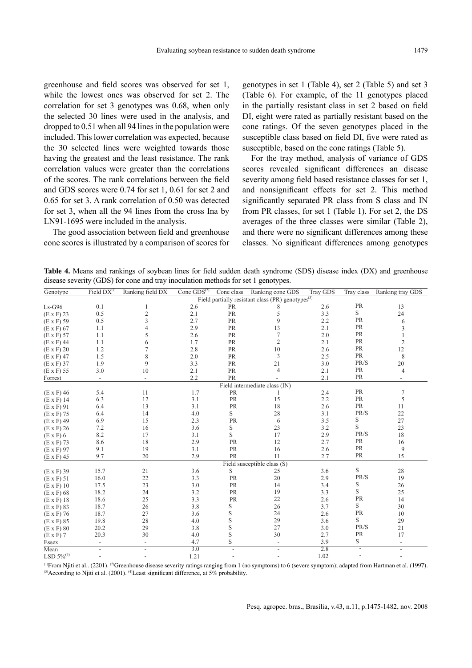greenhouse and field scores was observed for set 1, while the lowest ones was observed for set 2. The correlation for set 3 genotypes was 0.68, when only the selected 30 lines were used in the analysis, and dropped to 0.51 when all 94 lines in the population were included. This lower correlation was expected, because the 30 selected lines were weighted towards those having the greatest and the least resistance. The rank correlation values were greater than the correlations of the scores. The rank correlations between the field and GDS scores were 0.74 for set 1, 0.61 for set 2 and 0.65 for set 3. A rank correlation of 0.50 was detected for set 3, when all the 94 lines from the cross Ina by LN91-1695 were included in the analysis.

The good association between field and greenhouse cone scores is illustrated by a comparison of scores for genotypes in set 1 (Table 4), set 2 (Table 5) and set 3 (Table 6). For example, of the 11 genotypes placed in the partially resistant class in set 2 based on field DI, eight were rated as partially resistant based on the cone ratings. Of the seven genotypes placed in the susceptible class based on field DI, five were rated as susceptible, based on the cone ratings (Table 5).

For the tray method, analysis of variance of GDS scores revealed significant differences an disease severity among field based resistance classes for set 1, and nonsignificant effects for set 2. This method significantly separated PR class from S class and IN from PR classes, for set 1 (Table 1). For set 2, the DS averages of the three classes were similar (Table 2), and there were no significant differences among these classes. No significant differences among genotypes

**Table 4.** Means and rankings of soybean lines for field sudden death syndrome (SDS) disease index (DX) and greenhouse disease severity (GDS) for cone and tray inoculation methods for set 1 genotypes.

| Genotype          | Field $DX^{(1)}$         | Ranking field DX                                              | Cone $GDS(2)$ | Cone class | Ranking cone GDS              | Tray GDS | Tray class     | Ranking tray GDS         |
|-------------------|--------------------------|---------------------------------------------------------------|---------------|------------|-------------------------------|----------|----------------|--------------------------|
|                   |                          | Field partially resistant class (PR) genotypes <sup>(3)</sup> |               |            |                               |          |                |                          |
| $Ls-G96$          | 0.1                      | 1                                                             | 2.6           | PR         | 8                             | 2.6      | PR             | 13                       |
| $(E \times F)$ 23 | 0.5                      | $\overline{2}$                                                | 2.1           | PR         | 5                             | 3.3      | S              | 24                       |
| $(E \times F)$ 59 | 0.5                      | 3                                                             | 2.7           | PR         | 9                             | 2.2      | PR             | 6                        |
| $(E \times F)$ 67 | 1.1                      | $\overline{4}$                                                | 2.9           | PR         | 13                            | 2.1      | PR             | 3                        |
| $(E \times F)$ 57 | 1.1                      | 5                                                             | 2.6           | PR         | 7                             | 2.0      | PR             | $\mathbf{1}$             |
| $(E \times F)$ 44 | 1.1                      | 6                                                             | 1.7           | PR         | $\overline{2}$                | 2.1      | PR             | $\mathbf{2}$             |
| $(E \times F)$ 20 | 1.2                      | 7                                                             | 2.8           | PR         | 10                            | 2.6      | PR             | $12\,$                   |
| $(E \times F)$ 47 | 1.5                      | 8                                                             | 2.0           | PR         | 3                             | 2.5      | PR             | 8                        |
| $(E \times F)$ 37 | 1.9                      | 9                                                             | 3.3           | PR         | 21                            | 3.0      | PR/S           | 20                       |
| $(E \times F)$ 55 | 3.0                      | 10                                                            | 2.1           | <b>PR</b>  | $\overline{4}$                | 2.1      | PR             | 4                        |
| Forrest           | $\overline{\phantom{a}}$ | $\blacksquare$                                                | 2.2           | PR         |                               | 2.1      | PR             | $\overline{\phantom{a}}$ |
|                   |                          |                                                               |               |            | Field intermediate class (IN) |          |                |                          |
| $(E \times F)$ 46 | 5.4                      | 11                                                            | 1.7           | PR         |                               | 2.4      | PR             | 7                        |
| $(E \times F)$ 14 | 6.3                      | 12                                                            | 3.1           | PR         | 15                            | 2.2      | PR             | 5                        |
| $(E \times F)$ 91 | 6.4                      | 13                                                            | 3.1           | PR         | 18                            | 2.6      | PR             | 11                       |
| $(E \times F)$ 75 | 6.4                      | 14                                                            | 4.0           | S          | 28                            | 3.1      | PR/S           | 22                       |
| $(E \times F)$ 49 | 6.9                      | 15                                                            | 2.3           | PR         | 6                             | 3.5      | S              | 27                       |
| $(E \times F)$ 26 | 7.2                      | 16                                                            | 3.6           | S          | 23                            | 3.2      | S              | 23                       |
| $(E \times F)$ 6  | 8.2                      | 17                                                            | 3.1           | S          | 17                            | 2.9      | PR/S           | 18                       |
| $(E \times F)$ 73 | 8.6                      | 18                                                            | 2.9           | PR         | 12                            | 2.7      | PR             | 16                       |
| $(E \times F)$ 97 | 9.1                      | 19                                                            | 3.1           | PR         | 16                            | 2.6      | PR             | 9                        |
| $(E \times F)$ 45 | 9.7                      | 20                                                            | 2.9           | PR         | 11                            | 2.7      | PR             | 15                       |
|                   |                          |                                                               |               |            | Field susceptible class (S)   |          |                |                          |
| $(E \times F)$ 39 | 15.7                     | 21                                                            | 3.6           | S          | 25                            | 3.6      | S              | 28                       |
| $(E \times F) 51$ | 16.0                     | 22                                                            | 3.3           | PR         | 20                            | 2.9      | PR/S           | 19                       |
| $(E \times F)$ 10 | 17.5                     | 23                                                            | 3.0           | PR         | 14                            | 3.4      | S              | 26                       |
| $(E \times F)$ 68 | 18.2                     | 24                                                            | 3.2           | PR         | 19                            | 3.3      | S              | 25                       |
| $(E \times F)$ 18 | 18.6                     | 25                                                            | 3.3           | PR         | 22                            | 2.6      | PR             | 14                       |
| $(E \times F)$ 83 | 18.7                     | 26                                                            | 3.8           | S          | 26                            | 3.7      | S              | 30                       |
| $(E \times F)$ 76 | 18.7                     | 27                                                            | 3.6           | S          | 24                            | 2.6      | PR             | 10                       |
| $(E \times F)$ 85 | 19.8                     | 28                                                            | 4.0           | S          | 29                            | 3.6      | S              | 29                       |
| $(E \times F)$ 80 | 20.2                     | 29                                                            | 3.8           | S          | 27                            | 3.0      | PR/S           | 21                       |
| $(E \times F)$ 7  | 20.3                     | 30                                                            | 4.0           | S          | 30                            | 2.7      | PR             | 17                       |
| Essex             | $\overline{\phantom{a}}$ | $\overline{\phantom{a}}$                                      | 4.7           | S          | $\overline{\phantom{a}}$      | 3.9      | S              | $\overline{\phantom{a}}$ |
| Mean              | $\overline{a}$           | $\overline{a}$                                                | 3.0           |            |                               | 2.8      | $\sim$         | L,                       |
| LSD $5\%^{(4)}$   | $\overline{\phantom{a}}$ |                                                               | 1.21          |            |                               | 1.02     | $\overline{a}$ | $\overline{\phantom{a}}$ |

<sup>(1)</sup>From Njiti et al.. (2201). <sup>(2)</sup>Greenhouse disease severity ratings ranging from 1 (no symptoms) to 6 (severe symptom); adapted from Hartman et al. (1997). (3) According to Njiti et al. (2001). <sup>(4)</sup>Least significant difference, at 5% probability.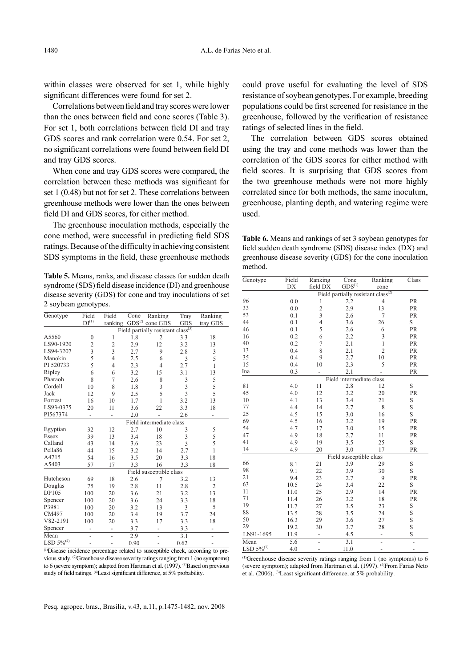within classes were observed for set 1, while highly significant differences were found for set 2.

Correlations between field and tray scores were lower than the ones between field and cone scores (Table 3). For set 1, both correlations between field DI and tray GDS scores and rank correlation were 0.54. For set 2, no significant correlations were found between field DI and tray GDS scores.

When cone and tray GDS scores were compared, the correlation between these methods was significant for set 1 (0.48) but not for set 2. These correlations between greenhouse methods were lower than the ones between field DI and GDS scores, for either method.

The greenhouse inoculation methods, especially the cone method, were successful in predicting field SDS ratings. Because of the difficulty in achieving consistent SDS symptoms in the field, these greenhouse methods

**Table 5.** Means, ranks, and disease classes for sudden death syndrome (SDS) field disease incidence (DI) and greenhouse disease severity (GDS) for cone and tray inoculations of set 2 soybean genotypes.

| Genotype        | Field                                          | Field                        | Cone | Ranking                  | Tray       | Ranking                  |  |
|-----------------|------------------------------------------------|------------------------------|------|--------------------------|------------|--------------------------|--|
|                 | $DI^{(1)}$                                     | ranking                      |      | $GDS(2)$ cone $GDS$      | <b>GDS</b> | tray GDS                 |  |
|                 | Field partially resistant class <sup>(3)</sup> |                              |      |                          |            |                          |  |
| A5560           | $\mathbf{0}$                                   | 1                            | 1.8  | 2                        | 3.3        | 18                       |  |
| LS90-1920       | $\overline{c}$                                 | $\overline{c}$               | 2.9  | 12                       | 3.2        | 13                       |  |
| LS94-3207       | 3                                              | 3                            | 2.7  | 9                        | 2.8        | 3                        |  |
| Manokin         | 5                                              | 4                            | 2.5  | 6                        | 3          | 5                        |  |
| PI 520733       | 5                                              | 4                            | 2.3  | $\overline{4}$           | 2.7        | 1                        |  |
| Ripley          | 6                                              | 6                            | 3.2  | 15                       | 3.1        | 13                       |  |
| Pharaoh         | 8                                              | 7                            | 2.6  | 8                        | 3          | 5                        |  |
| Cordell         | 10                                             | 8                            | 1.8  | 3                        | 3          | 5                        |  |
| Jack            | 12                                             | 9                            | 2.5  | 5                        | 3          | 5                        |  |
| Forrest         | 16                                             | 10                           | 1.7  | 1                        | 3.2        | 13                       |  |
| LS93-0375       | 20                                             | 11                           | 3.6  | 22                       | 3.3        | 18                       |  |
| PI567374        | $\overline{\phantom{0}}$                       | $\overline{a}$               | 2.0  |                          | 2.6        | $\overline{\phantom{0}}$ |  |
|                 |                                                |                              |      | Field intermediate class |            |                          |  |
| Egyptian        | 32                                             | 12                           | 2.7  | 10                       | 3          | 5                        |  |
| Essex           | 39                                             | 13                           | 3.4  | 18                       | 3          | 5                        |  |
| Calland         | 43                                             | 14                           | 3.6  | 23                       | 3          | 5                        |  |
| Pella86         | 44                                             | 15                           | 3.2  | 14                       | 2.7        | $\mathbf{1}$             |  |
| A4715           | 54                                             | 16                           | 3.5  | 20                       | 3.3        | 18                       |  |
| A5403           | 57                                             | 17                           | 3.3  | 16                       | 3.3        | 18                       |  |
|                 | Field susceptible class                        |                              |      |                          |            |                          |  |
| Hutcheson       | 69                                             | 18                           | 2.6  | 7                        | 3.2        | 13                       |  |
| Douglas         | 75                                             | 19                           | 2.8  | 11                       | 2.8        | 2                        |  |
| DP105           | 100                                            | 20                           | 3.6  | 21                       | 3.2        | 13                       |  |
| Spencer         | 100                                            | 20                           | 3.6  | 24                       | 3.3        | 18                       |  |
| P3981           | 100                                            | 20                           | 3.2  | 13                       | 3          | 5                        |  |
| CM497           | 100                                            | 20                           | 3.4  | 19                       | 3.7        | 24                       |  |
| V82-2191        | 100                                            | 20                           | 3.3  | 17                       | 3.3        | 18                       |  |
| Spencer         | $\overline{\phantom{0}}$                       | $\qquad \qquad \blacksquare$ | 3.7  | $\overline{\phantom{0}}$ | 3.3        | $\overline{\phantom{0}}$ |  |
| Mean            | $\overline{a}$                                 | $\qquad \qquad \blacksquare$ | 2.9  | $\overline{a}$           | 3.1        | $\overline{a}$           |  |
| LSD $5\%^{(4)}$ | -                                              |                              | 0.90 |                          | 0.62       |                          |  |

(1)Disease incidence percentage related to susceptible check, according to previous study. (2)Greenhouse disease severity ratings ranging from 1 (no symptoms) to 6 (severe symptom); adapted from Hartman et al. (1997). <sup>(3)</sup>Based on previous study of field ratings. <sup>(4)</sup>Least significant difference, at 5% probability.

could prove useful for evaluating the level of SDS resistance of soybean genotypes. For example, breeding populations could be first screened for resistance in the greenhouse, followed by the verification of resistance ratings of selected lines in the field.

The correlation between GDS scores obtained using the tray and cone methods was lower than the correlation of the GDS scores for either method with field scores. It is surprising that GDS scores from the two greenhouse methods were not more highly correlated since for both methods, the same inoculum, greenhouse, planting depth, and watering regime were used.

**Table 6.** Means and rankings of set 3 soybean genotypes for field sudden death syndrome (SDS) disease index (DX) and greenhouse disease severity (GDS) for the cone inoculation method.

| Genotype        | Field                                          | Ranking        | Cone                     | Ranking                  | Class          |  |  |
|-----------------|------------------------------------------------|----------------|--------------------------|--------------------------|----------------|--|--|
|                 | DX                                             | field DX       | $\mathrm{GDS}^{(1)}$     | cone                     |                |  |  |
|                 | Field partially resistant class <sup>(2)</sup> |                |                          |                          |                |  |  |
| 96              | 0.0                                            | 1              | 2.2                      | $\overline{4}$           | PR             |  |  |
| 33              | 0.0                                            | $\overline{2}$ | 2.9                      | 13                       | <b>PR</b>      |  |  |
| 53              | 0.1                                            | 3              | 2.6                      | $\overline{7}$           | PR             |  |  |
| 44              | 0.1                                            | $\overline{4}$ | 3.6                      | 26                       | S              |  |  |
| 46              | 0.1                                            | 5              | 2.6                      | 6                        | PR             |  |  |
| 16              | 0.2                                            | 6              | 2.2                      | 3                        | PR             |  |  |
| 40              | 0.2                                            | $\overline{7}$ | 2.1                      | $\mathbf{1}$             | PR             |  |  |
| 13              | 0.4                                            | 8              | 2.1                      | $\overline{c}$           | PR             |  |  |
| 35              | 0.4                                            | 9              | 2.7                      | 10                       | PR             |  |  |
| 15              | 0.4                                            | 10             | 2.3                      | 5                        | PR             |  |  |
| Ina             | 0.3                                            |                | 2.1                      |                          | PR             |  |  |
|                 |                                                |                | Field intermediate class |                          |                |  |  |
| 81              | 4.0                                            | 11             | 2.8                      | 12                       | S              |  |  |
| 45              | 4.0                                            | 12             | 3.2                      | 20                       | PR             |  |  |
| 10              | 4.1                                            | 13             | 3.4                      | 21                       | S              |  |  |
| 77              | 4.4                                            | 14             | 2.7                      | 8                        | S              |  |  |
| 25              | 4.5                                            | 15             | 3.0                      | 16                       | S              |  |  |
| 69              | 4.5                                            | 16             | 3.2                      | 19                       | PR             |  |  |
| 54              | 4.7                                            | 17             | 3.0                      | 15                       | PR             |  |  |
| 47              | 4.9                                            | 18             | 2.7                      | 11                       | PR             |  |  |
| 41              | 4.9                                            | 19             | 3.5                      | 25                       | S              |  |  |
| 14              | 4.9                                            | 20             | 3.0                      | 17                       | PR             |  |  |
|                 |                                                |                | Field susceptible class  |                          |                |  |  |
| 66              | 8.1                                            | 21             | 3.9                      | 29                       | S              |  |  |
| 98              | 9.1                                            | 22             | 3.9                      | 30                       | S              |  |  |
| 21              | 9.4                                            | 23             | 2.7                      | 9                        | PR             |  |  |
| 63              | 10.5                                           | 24             | 3.4                      | 22                       | S              |  |  |
| 11              | 11.0                                           | 25             | 2.9                      | 14                       | PR             |  |  |
| 71              | 11.4                                           | 26             | 3.2                      | 18                       | PR             |  |  |
| 19              | 11.7                                           | 27             | 3.5                      | 23                       | S              |  |  |
| 88              | 13.5                                           | 28             | 3.5                      | 24                       | S              |  |  |
| 50              | 16.3                                           | 29             | 3.6                      | 27                       | S              |  |  |
| 29              | 19.2                                           | 30             | 3.7                      | 28                       | S              |  |  |
| LN91-1695       | 11.9                                           | -              | 4.5                      | $\overline{\phantom{0}}$ | S              |  |  |
| Mean            | 5.6                                            | $\overline{a}$ | $\overline{3.1}$         |                          |                |  |  |
| $LSD 5\%^{(3)}$ | 4.0                                            | $\overline{a}$ | 11.0                     | $\overline{\phantom{a}}$ | $\overline{a}$ |  |  |

(1)Greenhouse disease severity ratings ranging from 1 (no symptoms) to 6 (severe symptom); adapted from Hartman et al. (1997). <sup>(2)</sup>From Farias Neto et al. (2006). <sup>(3)</sup>Least significant difference, at 5% probability.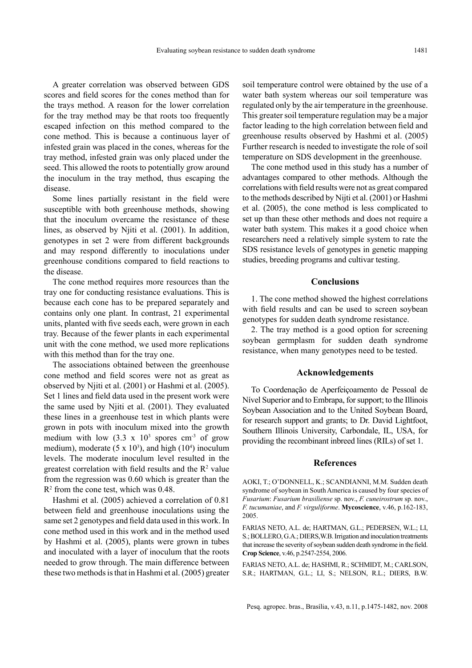A greater correlation was observed between GDS scores and field scores for the cones method than for the trays method. A reason for the lower correlation for the tray method may be that roots too frequently escaped infection on this method compared to the cone method. This is because a continuous layer of infested grain was placed in the cones, whereas for the tray method, infested grain was only placed under the seed. This allowed the roots to potentially grow around the inoculum in the tray method, thus escaping the disease.

Some lines partially resistant in the field were susceptible with both greenhouse methods, showing that the inoculum overcame the resistance of these lines, as observed by Njiti et al. (2001). In addition, genotypes in set 2 were from different backgrounds and may respond differently to inoculations under greenhouse conditions compared to field reactions to the disease.

The cone method requires more resources than the tray one for conducting resistance evaluations. This is because each cone has to be prepared separately and contains only one plant. In contrast, 21 experimental units, planted with five seeds each, were grown in each tray. Because of the fewer plants in each experimental unit with the cone method, we used more replications with this method than for the tray one.

The associations obtained between the greenhouse cone method and field scores were not as great as observed by Njiti et al. (2001) or Hashmi et al. (2005). Set 1 lines and field data used in the present work were the same used by Njiti et al. (2001). They evaluated these lines in a greenhouse test in which plants were grown in pots with inoculum mixed into the growth medium with low  $(3.3 \times 10^3 \text{ s} \cdot \text{m}^3 \cdot \text{m}^3)$  of grow medium), moderate  $(5 \times 10^3)$ , and high  $(10^4)$  inoculum levels. The moderate inoculum level resulted in the greatest correlation with field results and the  $\mathbb{R}^2$  value from the regression was 0.60 which is greater than the  $R<sup>2</sup>$  from the cone test, which was 0.48.

Hashmi et al. (2005) achieved a correlation of 0.81 between field and greenhouse inoculations using the same set 2 genotypes and field data used in this work. In cone method used in this work and in the method used by Hashmi et al. (2005), plants were grown in tubes and inoculated with a layer of inoculum that the roots needed to grow through. The main difference between these two methods is that in Hashmi et al. (2005) greater soil temperature control were obtained by the use of a water bath system whereas our soil temperature was regulated only by the air temperature in the greenhouse. This greater soil temperature regulation may be a major factor leading to the high correlation between field and greenhouse results observed by Hashmi et al. (2005) Further research is needed to investigate the role of soil temperature on SDS development in the greenhouse.

The cone method used in this study has a number of advantages compared to other methods. Although the correlations with field results were not as great compared to the methods described by Nijti et al. (2001) or Hashmi et al. (2005), the cone method is less complicated to set up than these other methods and does not require a water bath system. This makes it a good choice when researchers need a relatively simple system to rate the SDS resistance levels of genotypes in genetic mapping studies, breeding programs and cultivar testing.

### **Conclusions**

1. The cone method showed the highest correlations with field results and can be used to screen soybean genotypes for sudden death syndrome resistance.

2. The tray method is a good option for screening soybean germplasm for sudden death syndrome resistance, when many genotypes need to be tested.

### **Acknowledgements**

To Coordenação de Aperfeiçoamento de Pessoal de Nível Superior and to Embrapa, for support; to the Illinois Soybean Association and to the United Soybean Board, for research support and grants; to Dr. David Lightfoot, Southern Illinois University, Carbondale, IL, USA, for providing the recombinant inbreed lines (RILs) of set 1.

#### **References**

AOKI, T.; O'DONNELL, K.; SCANDIANNI, M.M. Sudden death syndrome of soybean in South America is caused by four species of *Fusarium*: *Fusarium brasiliense* sp. nov., *F. cuneirostrum* sp. nov., *F. tucumaniae*, and *F. virguliforme*. **Mycoscience**, v.46, p.162-183, 2005.

FARIAS NETO, A.L. de; HARTMAN, G.L.; PEDERSEN, W.L.; LI, S.; BOLLERO, G.A.; DIERS,W.B. Irrigation and inoculation treatments that increase the severity of soybean sudden death syndrome in the field. **Crop Science**, v.46, p.2547-2554, 2006.

FARIAS NETO, A.L. de; HASHMI, R.; SCHMIDT, M.; CARLSON, S.R.; HARTMAN, G.L.; LI, S.; NELSON, R.L.; DIERS, B.W.